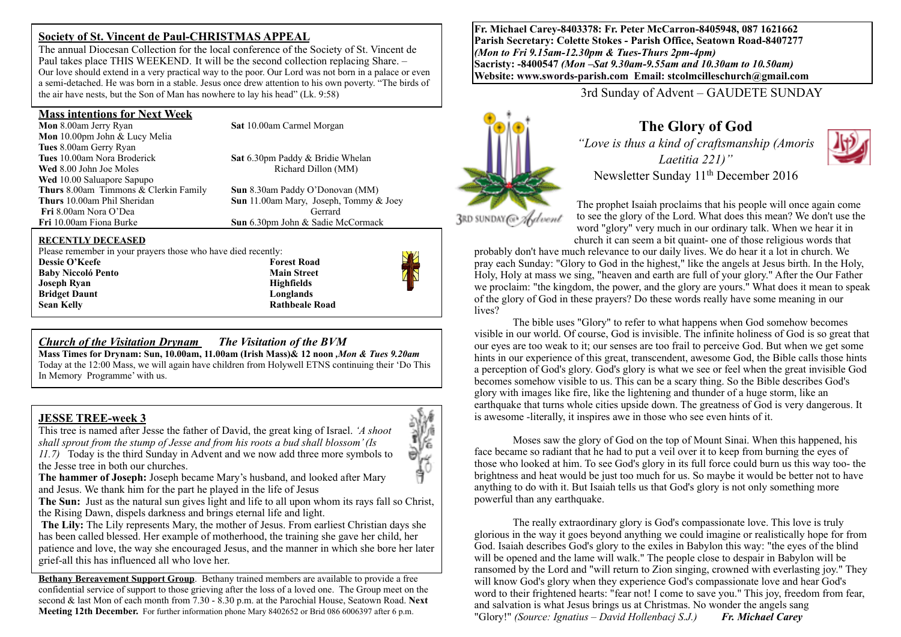# **Society of St. Vincent de Paul-CHRISTMAS APPEAL**

The annual Diocesan Collection for the local conference of the Society of St. Vincent de Paul takes place THIS WEEKEND. It will be the second collection replacing Share. – Our love should extend in a very practical way to the poor. Our Lord was not born in a palace or even a semi-detached. He was born in a stable. Jesus once drew attention to his own poverty. "The birds of the air have nests, but the Son of Man has nowhere to lay his head" (Lk. 9:58)

#### **Mass intentions for Next Week**

**Mon** 8.00am Jerry Ryan **Sat 10.00am Carmel Morgan Mon** 10.00pm John & Lucy Melia **Tues** 8.00am Gerry Ryan **Wed** 8.00 John Joe Moles **Richard Dillon (MM) Wed** 10.00 Saluapore Sapupo **Thurs 8.00am Timmons & Clerkin Family <b>Sun** 8.30am Paddy O'Donovan (MM)<br>**Thurs** 10.00am Phil Sheridan **Sun** 11.00am Mary Joseph Tommy & **Fri** 8.00am Nora O'Dea Gerrard<br> **Fri** 10.00am Fiona Burke **Sun** 6.30pm John & Sadie M

**Sat** 6.30pm Paddy & Bridie Whelan

**Sun** 11.00am Mary, Joseph, Tommy & Joey **Sun** 6.30pm John & Sadie McCormack

#### **RECENTLY DECEASED**

Please remember in your prayers those who have died recently:

**Dessie O'Keefe** Forest Road **Baby Niccoló Pento** Main Street **Joseph Ryan Highfields Bridget Daunt** Longlands **Sean Kelly Rathbeale Road Rathbeale Road** 

## *Church of the Visitation Drynam**The Visitation of the BVM*

**Mass Times for Drynam: Sun, 10.00am, 11.00am (Irish Mass)& 12 noon** *,Mon & Tues 9.20am*  Today at the 12:00 Mass, we will again have children from Holywell ETNS continuing their 'Do This In Memory Programme' with us.

#### **JESSE TREE-week 3**

This tree is named after Jesse the father of David, the great king of Israel. *'A shoot shall sprout from the stump of Jesse and from his roots a bud shall blossom' (Is 11.7)* Today is the third Sunday in Advent and we now add three more symbols to the Jesse tree in both our churches.

**The hammer of Joseph:** Joseph became Mary's husband, and looked after Mary and Jesus. We thank him for the part he played in the life of Jesus

**The Sun:** Just as the natural sun gives light and life to all upon whom its rays fall so Christ, the Rising Dawn, dispels darkness and brings eternal life and light.

**The Lily:** The Lily represents Mary, the mother of Jesus. From earliest Christian days she has been called blessed. Her example of motherhood, the training she gave her child, her patience and love, the way she encouraged Jesus, and the manner in which she bore her later grief-all this has influenced all who love her.

**Bethany Bereavement Support Group**. Bethany trained members are available to provide a free confidential service of support to those grieving after the loss of a loved one. The Group meet on the second & last Mon of each month from 7.30 - 8.30 p.m. at the Parochial House, Seatown Road. **Next Meeting 12th December.** For further information phone Mary 8402652 or Brid 086 6006397 after 6 p.m.

**Fr. Michael Carey-8403378: Fr. Peter McCarron-8405948, 087 1621662 Parish Secretary: Colette Stokes - Parish Office, Seatown Road-8407277**  *(Mon to Fri 9.15am-12.30pm & Tues-Thurs 2pm-4pm)*  **Sacristy: -8400547** *(Mon –Sat 9.30am-9.55am and 10.30am to 10.50am)* **Website: [www.swords-parish.com Email:](http://www.swords-parish.com%20%20email) stcolmcilleschurch@gmail.com**

3rd Sunday of Advent – GAUDETE SUNDAY



# **The Glory of God**

*"Love is thus a kind of craftsmanship (Amoris Laetitia 221)"* 



The prophet Isaiah proclaims that his people will once again come to see the glory of the Lord. What does this mean? We don't use the word "glory" very much in our ordinary talk. When we hear it in church it can seem a bit quaint- one of those religious words that

probably don't have much relevance to our daily lives. We do hear it a lot in church. We pray each Sunday: "Glory to God in the highest," like the angels at Jesus birth. In the Holy, Holy, Holy at mass we sing, "heaven and earth are full of your glory." After the Our Father we proclaim: "the kingdom, the power, and the glory are yours." What does it mean to speak of the glory of God in these prayers? Do these words really have some meaning in our lives?

The bible uses "Glory" to refer to what happens when God somehow becomes visible in our world. Of course, God is invisible. The infinite holiness of God is so great that our eyes are too weak to it; our senses are too frail to perceive God. But when we get some hints in our experience of this great, transcendent, awesome God, the Bible calls those hints a perception of God's glory. God's glory is what we see or feel when the great invisible God becomes somehow visible to us. This can be a scary thing. So the Bible describes God's glory with images like fire, like the lightening and thunder of a huge storm, like an earthquake that turns whole cities upside down. The greatness of God is very dangerous. It is awesome -literally, it inspires awe in those who see even hints of it.

Moses saw the glory of God on the top of Mount Sinai. When this happened, his face became so radiant that he had to put a veil over it to keep from burning the eyes of those who looked at him. To see God's glory in its full force could burn us this way too- the brightness and heat would be just too much for us. So maybe it would be better not to have anything to do with it. But Isaiah tells us that God's glory is not only something more powerful than any earthquake.

The really extraordinary glory is God's compassionate love. This love is truly glorious in the way it goes beyond anything we could imagine or realistically hope for from God. Isaiah describes God's glory to the exiles in Babylon this way: "the eyes of the blind will be opened and the lame will walk." The people close to despair in Babylon will be ransomed by the Lord and "will return to Zion singing, crowned with everlasting joy." They will know God's glory when they experience God's compassionate love and hear God's word to their frightened hearts: "fear not! I come to save you." This joy, freedom from fear, and salvation is what Jesus brings us at Christmas. No wonder the angels sang "Glory!" *(Source: Ignatius – David Hollenbacj S.J.) Fr. Michael Carey*